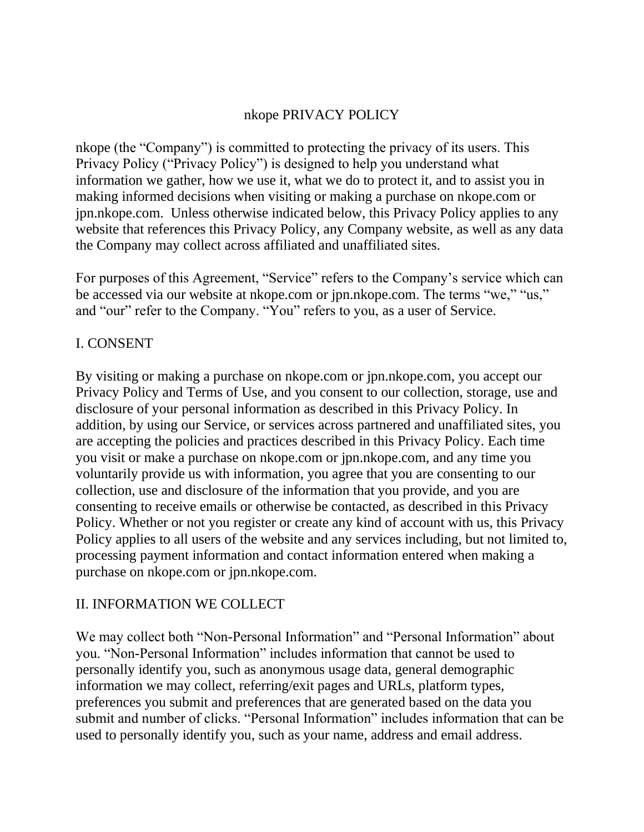### nkope PRIVACY POLICY

nkope (the "Company") is committed to protecting the privacy of its users. This Privacy Policy ("Privacy Policy") is designed to help you understand what information we gather, how we use it, what we do to protect it, and to assist you in making informed decisions when visiting or making a purchase on nkope.com or jpn.nkope.com. Unless otherwise indicated below, this Privacy Policy applies to any website that references this Privacy Policy, any Company website, as well as any data the Company may collect across affiliated and unaffiliated sites.

For purposes of this Agreement, "Service" refers to the Company's service which can be accessed via our website at nkope.com or jpn.nkope.com. The terms "we," "us," and "our" refer to the Company. "You" refers to you, as a user of Service.

### I. CONSENT

By visiting or making a purchase on nkope.com or jpn.nkope.com, you accept our Privacy Policy and Terms of Use, and you consent to our collection, storage, use and disclosure of your personal information as described in this Privacy Policy. In addition, by using our Service, or services across partnered and unaffiliated sites, you are accepting the policies and practices described in this Privacy Policy. Each time you visit or make a purchase on nkope.com or jpn.nkope.com, and any time you voluntarily provide us with information, you agree that you are consenting to our collection, use and disclosure of the information that you provide, and you are consenting to receive emails or otherwise be contacted, as described in this Privacy Policy. Whether or not you register or create any kind of account with us, this Privacy Policy applies to all users of the website and any services including, but not limited to, processing payment information and contact information entered when making a purchase on nkope.com or jpn.nkope.com.

### II. INFORMATION WE COLLECT

We may collect both "Non-Personal Information" and "Personal Information" about you. "Non-Personal Information" includes information that cannot be used to personally identify you, such as anonymous usage data, general demographic information we may collect, referring/exit pages and URLs, platform types, preferences you submit and preferences that are generated based on the data you submit and number of clicks. "Personal Information" includes information that can be used to personally identify you, such as your name, address and email address.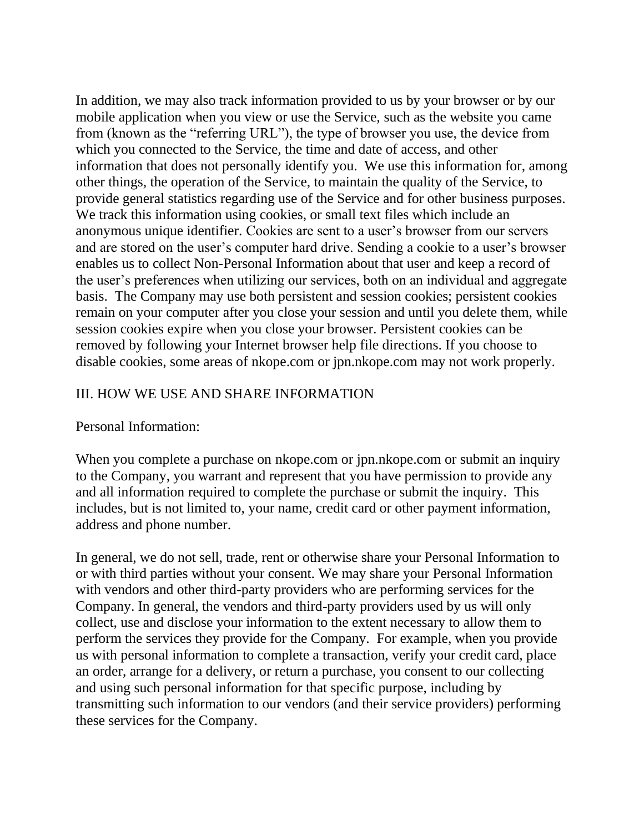In addition, we may also track information provided to us by your browser or by our mobile application when you view or use the Service, such as the website you came from (known as the "referring URL"), the type of browser you use, the device from which you connected to the Service, the time and date of access, and other information that does not personally identify you. We use this information for, among other things, the operation of the Service, to maintain the quality of the Service, to provide general statistics regarding use of the Service and for other business purposes. We track this information using cookies, or small text files which include an anonymous unique identifier. Cookies are sent to a user's browser from our servers and are stored on the user's computer hard drive. Sending a cookie to a user's browser enables us to collect Non-Personal Information about that user and keep a record of the user's preferences when utilizing our services, both on an individual and aggregate basis. The Company may use both persistent and session cookies; persistent cookies remain on your computer after you close your session and until you delete them, while session cookies expire when you close your browser. Persistent cookies can be removed by following your Internet browser help file directions. If you choose to disable cookies, some areas of nkope.com or jpn.nkope.com may not work properly.

### III. HOW WE USE AND SHARE INFORMATION

#### Personal Information:

When you complete a purchase on nkope.com or jpn.nkope.com or submit an inquiry to the Company, you warrant and represent that you have permission to provide any and all information required to complete the purchase or submit the inquiry. This includes, but is not limited to, your name, credit card or other payment information, address and phone number.

In general, we do not sell, trade, rent or otherwise share your Personal Information to or with third parties without your consent. We may share your Personal Information with vendors and other third-party providers who are performing services for the Company. In general, the vendors and third-party providers used by us will only collect, use and disclose your information to the extent necessary to allow them to perform the services they provide for the Company. For example, when you provide us with personal information to complete a transaction, verify your credit card, place an order, arrange for a delivery, or return a purchase, you consent to our collecting and using such personal information for that specific purpose, including by transmitting such information to our vendors (and their service providers) performing these services for the Company.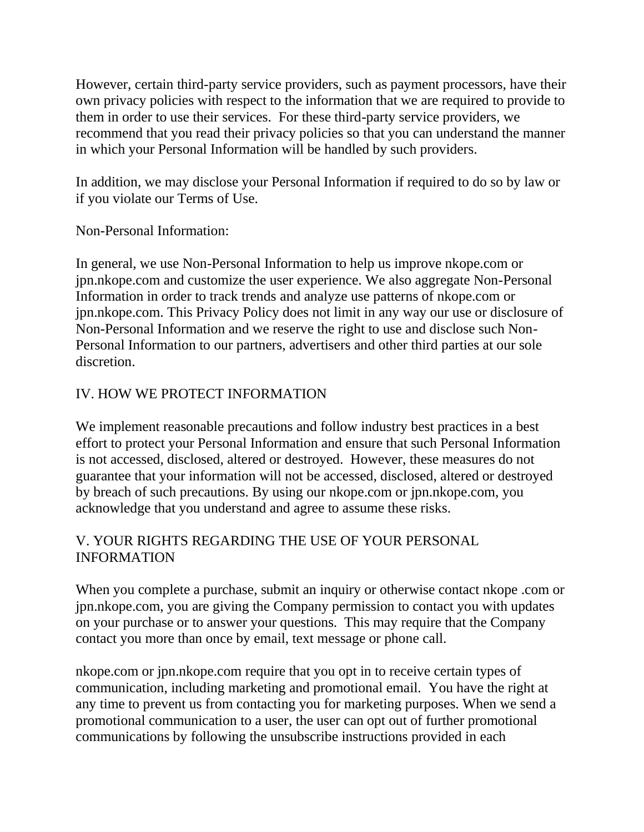However, certain third-party service providers, such as payment processors, have their own privacy policies with respect to the information that we are required to provide to them in order to use their services. For these third-party service providers, we recommend that you read their privacy policies so that you can understand the manner in which your Personal Information will be handled by such providers.

In addition, we may disclose your Personal Information if required to do so by law or if you violate our Terms of Use.

Non-Personal Information:

In general, we use Non-Personal Information to help us improve nkope.com or jpn.nkope.com and customize the user experience. We also aggregate Non-Personal Information in order to track trends and analyze use patterns of nkope.com or jpn.nkope.com. This Privacy Policy does not limit in any way our use or disclosure of Non-Personal Information and we reserve the right to use and disclose such Non-Personal Information to our partners, advertisers and other third parties at our sole discretion.

# IV. HOW WE PROTECT INFORMATION

We implement reasonable precautions and follow industry best practices in a best effort to protect your Personal Information and ensure that such Personal Information is not accessed, disclosed, altered or destroyed. However, these measures do not guarantee that your information will not be accessed, disclosed, altered or destroyed by breach of such precautions. By using our nkope.com or jpn.nkope.com, you acknowledge that you understand and agree to assume these risks.

# V. YOUR RIGHTS REGARDING THE USE OF YOUR PERSONAL INFORMATION

When you complete a purchase, submit an inquiry or otherwise contact nkope .com or jpn.nkope.com, you are giving the Company permission to contact you with updates on your purchase or to answer your questions. This may require that the Company contact you more than once by email, text message or phone call.

nkope.com or jpn.nkope.com require that you opt in to receive certain types of communication, including marketing and promotional email. You have the right at any time to prevent us from contacting you for marketing purposes. When we send a promotional communication to a user, the user can opt out of further promotional communications by following the unsubscribe instructions provided in each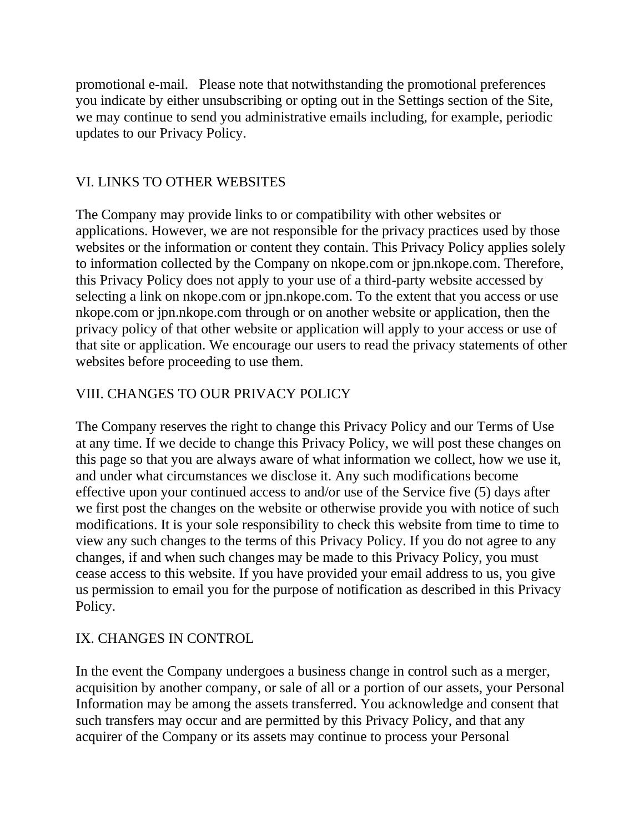promotional e-mail. Please note that notwithstanding the promotional preferences you indicate by either unsubscribing or opting out in the Settings section of the Site, we may continue to send you administrative emails including, for example, periodic updates to our Privacy Policy.

### VI. LINKS TO OTHER WEBSITES

The Company may provide links to or compatibility with other websites or applications. However, we are not responsible for the privacy practices used by those websites or the information or content they contain. This Privacy Policy applies solely to information collected by the Company on nkope.com or jpn.nkope.com. Therefore, this Privacy Policy does not apply to your use of a third-party website accessed by selecting a link on nkope.com or jpn.nkope.com. To the extent that you access or use nkope.com or jpn.nkope.com through or on another website or application, then the privacy policy of that other website or application will apply to your access or use of that site or application. We encourage our users to read the privacy statements of other websites before proceeding to use them.

### VIII. CHANGES TO OUR PRIVACY POLICY

The Company reserves the right to change this Privacy Policy and our Terms of Use at any time. If we decide to change this Privacy Policy, we will post these changes on this page so that you are always aware of what information we collect, how we use it, and under what circumstances we disclose it. Any such modifications become effective upon your continued access to and/or use of the Service five (5) days after we first post the changes on the website or otherwise provide you with notice of such modifications. It is your sole responsibility to check this website from time to time to view any such changes to the terms of this Privacy Policy. If you do not agree to any changes, if and when such changes may be made to this Privacy Policy, you must cease access to this website. If you have provided your email address to us, you give us permission to email you for the purpose of notification as described in this Privacy Policy.

### IX. CHANGES IN CONTROL

In the event the Company undergoes a business change in control such as a merger, acquisition by another company, or sale of all or a portion of our assets, your Personal Information may be among the assets transferred. You acknowledge and consent that such transfers may occur and are permitted by this Privacy Policy, and that any acquirer of the Company or its assets may continue to process your Personal